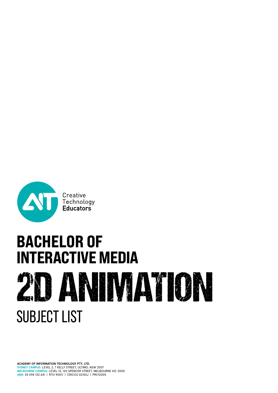

# **BACHELOR OF<br>INTERACTIVE MEDIA 2 ANIMATION** SUBJECT LIST

**ACADEMY OF INFORMATION TECHNOLOGY PTY. LTD. SYDNEY CAMPUS:** LEVEL 2, 7 KELLY STREET, ULTIMO, NSW 2007 **MELBOURNE CAMPUS:** LEVEL 13, 120 SPENCER STREET, MELBOURNE VIC 3000 **ABN**: 35 094 133 641 | RTO 90511 | CRICOS 02155J | PRV12005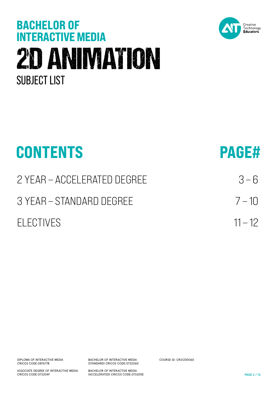# **BACHELOR OF<br>INTERACTIVE MEDIA** 2D ANIMATION SUBJECT LIST



| <b>PAGE#</b> |
|--------------|
| $3 - 6$      |
| $7 - 10$     |
| $11 - 12$    |
|              |

DIPLOMA OF INTERACTIVE MEDIA CRICOS CODE:087677B

ASSOCIATE DEGREE OF INTERACTIVE MEDIA CRICOS CODE:073204F

BACHELOR OF INTERACTIVE MEDIA (STANDARD) CRICOS CODE:073206D

BACHELOR OF INTERACTIVE MEDIA (ACCELERATED) CRICOS CODE:073205E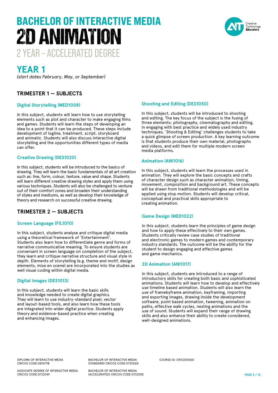# 2 YEAR – ACCELERATED DEGREE BACHELOR OF INTERACTIVE MEDIA 2D ANIMATION



# **YEAR 1**

*(start dates February, May, or September)*

# **TRIMESTER 1 — SUBJECTS**

# **Digital Storytelling (MED1008)**

In this subject, students will learn how to use storytelling elements such as plot and character to make engaging films and games. Students will learn the steps of developing an idea to a point that it can be produced. These steps include development of logline, treatment, script, storyboard and animatic. Students will also discuss interactive digital storytelling and the opportunities different types of media can offer.

# **Creative Drawing (DES1020)**

In this subject, students will be introduced to the basics of drawing. They will learn the basic fundamentals of all art creation such as: line, form, colour, texture, value and shape. Students will learn different creative drawing styles and apply them using various techniques. Students will also be challenged to venture out of their comfort zones and broaden their understanding of styles and mediums, as well as develop their knowledge of theory and research on successful creative drawing.

# **TRIMESTER 2 — SUBJECTS**

# **Screen Language (FIL1010)**

In this subject, students analyse and critique digital media using a theoretical framework of 'Entertainment'. Students also learn how to differentiate genre and forms of narrative communicative meaning. To ensure students are conversant in screen language on completion of the subject, they learn and critique narrative structure and visual style in depth. Elements of storytelling (e.g. theme and motif, design elements, mise en scene) are incorporated into the studies as well visual coding within digital media.

# **Digital Images (DES1013)**

In this subject, students will learn the basic skills and knowledge needed to create digital graphics. They will learn to use industry-standard pixel, vector and layout-based tools, and also learn how these tools are integrated into wider digital practice. Students apply theory and evidence-based practice when creating and enhancing images.

# **Shooting and Editing (DES1050)**

In this subject, students will be introduced to shooting and editing. The key focus of the subject is the fusing of three elements: photography, cinematography and editing. In engaging with best practice and widely used industry techniques, 'Shooting & Editing' challenges students to take a quick glimpse of screen production. A key learning outcome is that students produce their own material, photographs and videos, and edit them for multiple modern screen media platforms.

# **Animation (ANI1016)**

In this subject, students will learn the processes used in animation. They will explore the basic concepts and crafts of character design such as character animation, timing, movement, composition and background art. These concepts will be drawn from traditional methodologies and will be applied using stop motion. Students will develop critical, conceptual and practical skills appropriate to creating animation.

# **Game Design (MED1022)**

In this subject, students learn the principles of game design and how to apply these effectively to their own games. Students critically review case studies of traditional and electronic games to modern games and contemporary industry standards. The outcome will be the ability for the student to design engaging and effective games and game mechanics.

# **2D Animation (ANI1017)**

In this subject, students are introduced to a range of introductory skills for creating both basic and sophisticated animations. Students will learn how to develop and effectively use timeline based animation. Students will also learn the use of framebyframe animation, keyframing, importing and exporting images, drawing inside the development software, point based animation, tweening, animation on paths, effective walk cycles, nesting animations and the use of sound. Students will expand their range of drawing skills and also enhance their ability to create considered, well-designed animations.

DIPLOMA OF INTERACTIVE MEDIA CRICOS CODE:087677B

ASSOCIATE DEGREE OF INTERACTIVE MEDIA CRICOS CODE:073204F

BACHELOR OF INTERACTIVE MEDIA (STANDARD) CRICOS CODE:073206D

BACHELOR OF INTERACTIVE MEDIA (ACCELERATED) CRICOS CODE:073205E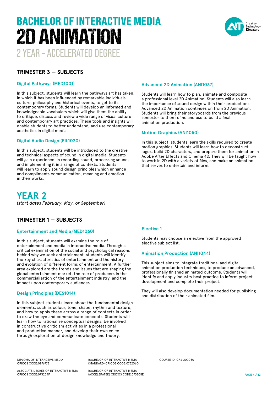# 2 YEAR – ACCELERATED DEGREE BACHELOR OF INTERACTIVE MEDIA 2D ANIMATION



# **TRIMESTER 3 — SUBJECTS**

# **Digital Pathways (MED1001)**

In this subject, students will learn the pathways art has taken, in which it has been influenced by remarkable individuals, culture, philosophy and historical events, to get to its contemporary forms. Students will develop an informed and knowledgeable vocabulary which will give them the ability to critique, discuss and review a wide range of visual culture and contemporary art practices. These tools and insights will enable students to better understand, and use contemporary aesthetics in digital media.

# **Digital Audio Design (FIL1020)**

In this subject, students will be introduced to the creative and technical aspects of sound in digital media. Students will gain experience in recording sound, processing sound, and implementing it in a range of contexts. Students will learn to apply sound design principles which enhance and compliments communication, meaning and emotion in their works.

# **YEAR 2** *(start dates February, May, or September)*

# **TRIMESTER 1 — SUBJECTS**

# **Entertainment and Media (MED1060)**

In this subject, students will examine the role of entertainment and media in interactive media. Through a critical examination of the social and psychological reasons behind why we seek entertainment, students will identify the key characteristics of entertainment and the history and evolution of different forms of entertainment. A further area explored are the trends and issues that are shaping the global entertainment market, the role of producers in the commercialisation of the entertainment industry, and the impact upon contemporary audiences.

#### **Design Principles (DES1014)**

In this subject students learn about the fundamental design elements, such as colour, tone, shape, rhythm and texture, and how to apply these across a range of contexts in order to draw the eye and communicate concepts. Students will learn how to rationalise conceptual designs, be involved in constructive criticism activities in a professional and productive manner, and develop their own voice through exploration of design knowledge and theory.

# **Advanced 2D Animation (ANI1037)**

Students will learn how to plan, animate and composite a professional level 2D Animation. Students will also learn the importance of sound design within their productions. Advanced 2D Animation continues on from 2D Animation. Students will bring their storyboards from the previous semester to then refine and use to build a final animation production.

### **Motion Graphics (ANI1050)**

In this subject, students learn the skills required to create motion graphics. Students will learn how to deconstruct logos, build 2D characters, and prepare them for animation in Adobe After Effects and Cinema 4D. They will be taught how to work in 2D with a variety of files, and make an animation that serves to entertain and inform.

# **Elective 1**

Students may choose an elective from the approved elective subject list.

# **Animation Production (ANI1044)**

This subject aims to integrate traditional and digital animation production techniques, to produce an advanced, professionally finished animated outcome. Students will identify and apply industry best practice to inform project development and complete their project.

They will also develop documentation needed for publishing and distribution of their animated film.

DIPLOMA OF INTERACTIVE MEDIA CRICOS CODE:087677B

BACHELOR OF INTERACTIVE MEDIA (STANDARD) CRICOS CODE:073206D

ASSOCIATE DEGREE OF INTERACTIVE MEDIA CRICOS CODE:073204F

BACHELOR OF INTERACTIVE MEDIA (ACCELERATED) CRICOS CODE:073205E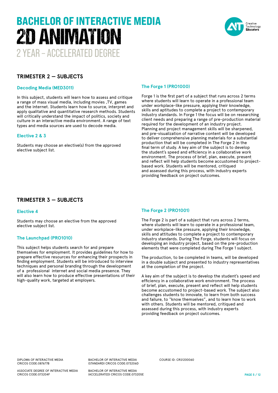# 2 YEAR – ACCELERATED DEGREE BACHELOR OF INTERACTIVE MEDIA 2D ANIMATION



# **TRIMESTER 2 — SUBJECTS**

### **Decoding Media (MED3011)**

In this subject, students will learn how to assess and critique a range of mass visual media, including movies ,TV, games and the internet. Students learn how to source, interpret and apply qualitative and quantitative research methods. Students will critically understand the impact of politics, society and culture in an interactive media environment. A range of text types and media sources are used to decode media.

### **Elective 2 & 3**

Students may choose an elective(s) from the approved elective subject list.

# **The Forge 1 (PRO1000)**

Forge 1 is the first part of a subject that runs across 2 terms where students will learn to operate in a professional team under workplace-like pressure, applying their knowledge, skills and aptitudes to complete a project to contemporary industry standards. In Forge 1 the focus will be on researching client needs and preparing a range of pre-production material required for the development of an industry project. Planning and project management skills will be sharpened, and pre-visualization of narrative content will be developed to deliver comprehensive planning materials for a substantial production that will be completed in The Forge 2 in the final term of study. A key aim of the subject is to develop the student's speed and efficiency in a collaborative work environment. The process of brief, plan, execute, present and reflect will help students become accustomed to projectbased work. Students will be mentored, critiqued and assessed during this process, with industry experts providing feedback on project outcomes.

# **TRIMESTER 3 — SUBJECTS**

### **Elective 4**

Students may choose an elective from the approved elective subject list.

# **The Launchpad (PRO1010)**

This subject helps students search for and prepare themselves for employment. It provides guidelines for how to prepare effective resources for enhancing their prospects in finding employment. Students will be introduced to interview techniques and personal branding through the development of a professional internet and social media presence. They will also learn how to produce effective presentations of their high-quality work, targeted at employers.

# **The Forge 2 (PRO1001)**

The Forge 2 is part of a subject that runs across 2 terms, where students will learn to operate in a professional team, under workplace-like pressure, applying their knowledge, skills and attitudes to complete a project to contemporary industry standards. During The Forge, students will focus on developing an industry project, based on the pre-production elements that were completed during The Forge 1 subject.

The production, to be completed in teams, will be developed in a double subject and presented to industry representatives at the completion of the project.

A key aim of the subject is to develop the student's speed and efficiency in a collaborative work environment. The process of brief, plan, execute, present and reflect will help students become accustomed to project-based work. The subject also challenges students to innovate, to learn from both success and failure, to "know themselves", and to learn how to work with others. Students will be mentored, critiqued and assessed during this process, with industry experts providing feedback on project outcomes.

DIPLOMA OF INTERACTIVE MEDIA CRICOS CODE:087677B

ASSOCIATE DEGREE OF INTERACTIVE MEDIA CRICOS CODE:073204F

BACHELOR OF INTERACTIVE MEDIA (STANDARD) CRICOS CODE:073206D COURSE ID: CRS1200060

BACHELOR OF INTERACTIVE MEDIA (ACCELERATED) CRICOS CODE:073205E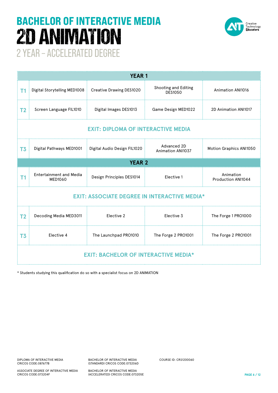# BACHELOR OF INTERACTIVE MEDIA 2D ANIMATION



2 YEAR – ACCELERATED DEGREE

| <b>YEAR 1</b>                                       |                                                       |                              |                                        |                                 |  |  |
|-----------------------------------------------------|-------------------------------------------------------|------------------------------|----------------------------------------|---------------------------------|--|--|
| T <sub>1</sub>                                      | Digital Storytelling MED1008 Creative Drawing DES1020 |                              | Shooting and Editing<br><b>DES1050</b> | <b>Animation ANI1016</b>        |  |  |
| T <sub>2</sub>                                      | Screen Language FIL1010                               | Digital Images DES1013       | Game Design MED1022                    | 2D Animation ANI1017            |  |  |
| <b>EXIT: DIPLOMA OF INTERACTIVE MEDIA</b>           |                                                       |                              |                                        |                                 |  |  |
| T <sub>3</sub>                                      | Digital Pathways MED1001                              | Digital Audio Design FIL1020 | Advanced 2D<br>Animation ANI1037       | Motion Graphics ANI1050         |  |  |
| <b>YEAR 2</b>                                       |                                                       |                              |                                        |                                 |  |  |
| T <sub>1</sub>                                      | <b>Entertainment and Media</b><br>MED1060             | Design Principles DES1014    | Elective 1                             | Animation<br>Production ANI1044 |  |  |
| <b>EXIT: ASSOCIATE DEGREE IN INTERACTIVE MEDIA*</b> |                                                       |                              |                                        |                                 |  |  |
| T <sub>2</sub>                                      | Decoding Media MED3011                                | Elective 2                   | Elective 3                             | The Forge 1 PRO1000             |  |  |
| T <sub>3</sub>                                      | Elective 4                                            | The Launchpad PRO1010        | The Forge 2 PRO1001                    | The Forge 2 PRO1001             |  |  |
| <b>EXIT: BACHELOR OF INTERACTIVE MEDIA*</b>         |                                                       |                              |                                        |                                 |  |  |

\* Students studying this qualification do so with a specialist focus on 2D ANIMATION

BACHELOR OF INTERACTIVE MEDIA (STANDARD) CRICOS CODE:073206D COURSE ID: CRS1200060

ASSOCIATE DEGREE OF INTERACTIVE MEDIA CRICOS CODE:073204F

BACHELOR OF INTERACTIVE MEDIA (ACCELERATED) CRICOS CODE:073205E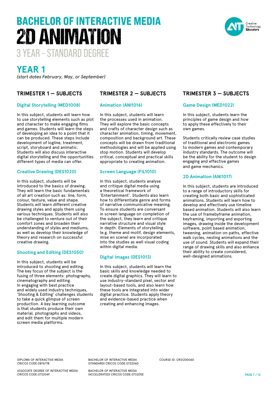#### DIPLOMA OF INTERACTIVE MEDIA CRICOS CODE:087677B

ASSOCIATE DEGREE OF INTERACTIVE MEDIA CRICOS CODE:073204F

BACHELOR OF INTERACTIVE MEDIA (STANDARD) CRICOS CODE:073206D

BACHELOR OF INTERACTIVE MEDIA (ACCELERATED) CRICOS CODE:073205E

# **YEAR 1**

*(start dates February, May, or September)*

# **TRIMESTER 1 — SUBJECTS**

# **Digital Storytelling (MED1008)**

In this subject, students will learn how to use storytelling elements such as plot and character to make engaging films and games. Students will learn the steps of developing an idea to a point that it can be produced. These steps include development of logline, treatment, script, storyboard and animatic. Students will also discuss interactive digital storytelling and the opportunities different types of media can offer.

# **Creative Drawing (DES1020)**

In this subject, students will be introduced to the basics of drawing. They will learn the basic fundamentals of all art creation such as: line, form, colour, texture, value and shape. Students will learn different creative drawing styles and apply them using various techniques. Students will also be challenged to venture out of their comfort zones and broaden their understanding of styles and mediums, as well as develop their knowledge of theory and research on successful creative drawing.

# **Shooting and Editing (DES1050)**

In this subject, students will be introduced to shooting and editing. The key focus of the subject is the fusing of three elements: photography, cinematography and editing. In engaging with best practice and widely used industry techniques, 'Shooting & Editing' challenges students to take a quick glimpse of screen production. A key learning outcome is that students produce their own material, photographs and videos, and edit them for multiple modern screen media platforms.

# **TRIMESTER 2 — SUBJECTS**

# **Animation (ANI1016)**

In this subject, students will learn the processes used in animation. They will explore the basic concepts and crafts of character design such as character animation, timing, movement, composition and background art. These concepts will be drawn from traditional methodologies and will be applied using stop motion. Students will develop critical, conceptual and practical skills appropriate to creating animation.

# **Screen Language (FIL1010)**

In this subject, students analyse and critique digital media using a theoretical framework of 'Entertainment'. Students also learn how to differentiate genre and forms of narrative communicative meaning. To ensure students are conversant in screen language on completion of the subject, they learn and critique narrative structure and visual style in depth. Elements of storytelling (e.g. theme and motif, design elements, mise en scene) are incorporated into the studies as well visual coding within digital media.

# **Digital Images (DES1013)**

In this subject, students will learn the basic skills and knowledge needed to create digital graphics. They will learn to use industry-standard pixel, vector and layout-based tools, and also learn how these tools are integrated into wider digital practice. Students apply theory and evidence-based practice when creating and enhancing images.

COURSE ID: CRS1200060

# **TRIMESTER 3 — SUBJECTS**

# **Game Design (MED1022)**

In this subject, students learn the principles of game design and how to apply these effectively to their own games.

Students critically review case studies of traditional and electronic games to modern games and contemporary industry standards. The outcome will be the ability for the student to design engaging and effective games and game mechanics.

# **2D Animation (ANI1017)**

In this subject, students are introduced to a range of introductory skills for creating both basic and sophisticated animations. Students will learn how to develop and effectively use timeline based animation. Students will also learn the use of framebyframe animation, keyframing, importing and exporting images, drawing inside the development software, point based animation, tweening, animation on paths, effective walk cycles, nesting animations and the use of sound. Students will expand their range of drawing skills and also enhance their ability to create considered, well-designed animations.



# 3 YEAR – STANDARD DEGREE BACHELOR OF INTERACTIVE MEDIA 2D ANIMATION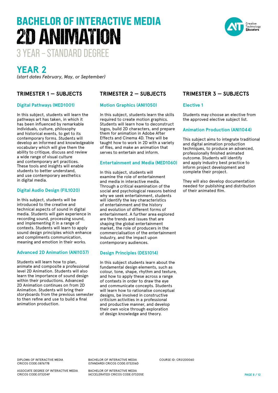# DIPLOMA OF INTERACTIVE MEDIA

CRICOS CODE:087677B

ASSOCIATE DEGREE OF INTERACTIVE MEDIA CRICOS CODE:073204F

BACHELOR OF INTERACTIVE MEDIA (STANDARD) CRICOS CODE:073206D

BACHELOR OF INTERACTIVE MEDIA (ACCELERATED) CRICOS CODE:073205E

**PAGE 8 / 12**

# 3 YEAR – STANDARD DEGREE BACHELOR OF INTERACTIVE MEDIA 2D ANIMATION

# **YEAR 2**

*(start dates February, May, or September)*

# **TRIMESTER 1 — SUBJECTS**

# **Digital Pathways (MED1001)**

In this subject, students will learn the pathways art has taken, in which it has been influenced by remarkable individuals, culture, philosophy and historical events, to get to its contemporary forms. Students will develop an informed and knowledgeable vocabulary which will give them the ability to critique, discuss and review a wide range of visual culture and contemporary art practices. These tools and insights will enable students to better understand, and use contemporary aesthetics in digital media.

# **Digital Audio Design (FIL1020)**

In this subject, students will be introduced to the creative and technical aspects of sound in digital media. Students will gain experience in recording sound, processing sound, and implementing it in a range of contexts. Students will learn to apply sound design principles which enhance and compliments communication, meaning and emotion in their works.

# **Advanced 2D Animation (ANI1037)**

Students will learn how to plan, animate and composite a professional level 2D Animation. Students will also learn the importance of sound design within their productions. Advanced 2D Animation continues on from 2D Animation. Students will bring their storyboards from the previous semester to then refine and use to build a final animation production.

# **TRIMESTER 2 — SUBJECTS**

# **Motion Graphics (ANI1050)**

In this subject, students learn the skills required to create motion graphics. Students will learn how to deconstruct logos, build 2D characters, and prepare them for animation in Adobe After Effects and Cinema 4D. They will be taught how to work in 2D with a variety of files, and make an animation that serves to entertain and inform.

# **Entertainment and Media (MED1060)**

In this subject, students will examine the role of entertainment and media in interactive media. Through a critical examination of the social and psychological reasons behind why we seek entertainment, students will identify the key characteristics of entertainment and the history and evolution of different forms of entertainment. A further area explored are the trends and issues that are shaping the global entertainment market, the role of producers in the commercialisation of the entertainment industry, and the impact upon contemporary audiences.

# **Design Principles (DES1014)**

In this subject students learn about the fundamental design elements, such as colour, tone, shape, rhythm and texture, and how to apply these across a range of contexts in order to draw the eye and communicate concepts. Students will learn how to rationalise conceptual designs, be involved in constructive criticism activities in a professional and productive manner, and develop their own voice through exploration of design knowledge and theory.

COURSE ID: CRS1200060

# **TRIMESTER 3 — SUBJECTS**

# **Elective 1**

Students may choose an elective from the approved elective subject list.

# **Animation Production (ANI1044)**

This subject aims to integrate traditional and digital animation production techniques, to produce an advanced, professionally finished animated outcome. Students will identify and apply industry best practice to inform project development and complete their project.

They will also develop documentation needed for publishing and distribution of their animated film.

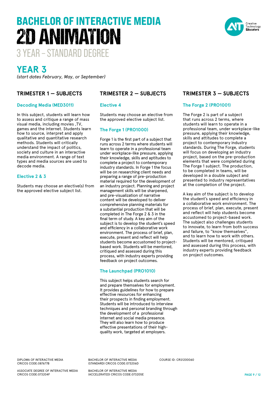#### DIPLOMA OF INTERACTIVE MEDIA CRICOS CODE:087677B

ASSOCIATE DEGREE OF INTERACTIVE MEDIA CRICOS CODE:073204F

BACHELOR OF INTERACTIVE MEDIA (STANDARD) CRICOS CODE:073206D

BACHELOR OF INTERACTIVE MEDIA (ACCELERATED) CRICOS CODE:073205E

# BACHELOR OF INTERACTIVE MEDIA 2D ANIMATION

3 YEAR – STANDARD DEGREE

# **YEAR 3**

*(start dates February, May, or September)*

# **TRIMESTER 1 — SUBJECTS**

# **Decoding Media (MED3011)**

In this subject, students will learn how to assess and critique a range of mass visual media, including movies ,TV, games and the internet. Students learn how to source, interpret and apply qualitative and quantitative research methods. Students will critically understand the impact of politics, society and culture in an interactive media environment. A range of text types and media sources are used to decode media.

# **Elective 2 & 3**

Students may choose an elective(s) from the approved elective subject list.

# **TRIMESTER 2 — SUBJECTS**

# **Elective 4**

Students may choose an elective from the approved elective subject list.

# **The Forge 1 (PRO1000)**

Forge 1 is the first part of a subject that runs across 2 terms where students will learn to operate in a professional team under workplace-like pressure, applying their knowledge, skills and aptitudes to complete a project to contemporary industry standards. In Forge 1 the focus will be on researching client needs and preparing a range of pre-production material required for the development of an industry project. Planning and project management skills will be sharpened, and pre-visualization of narrative content will be developed to deliver comprehensive planning materials for a substantial production that will be completed in The Forge 2 & 3 in the final term of study. A key aim of the subject is to develop the student's speed and efficiency in a collaborative work environment. The process of brief, plan, execute, present and reflect will help students become accustomed to projectbased work. Students will be mentored, critiqued and assessed during this process, with industry experts providing feedback on project outcomes.

# **The Launchpad (PRO1010)**

This subject helps students search for and prepare themselves for employment. It provides guidelines for how to prepare effective resources for enhancing their prospects in finding employment. Students will be introduced to interview techniques and personal branding through the development of a professional internet and social media presence. They will also learn how to produce effective presentations of their highquality work, targeted at employers.

COURSE ID: CRS1200060

# **TRIMESTER 3 — SUBJECTS**

# **The Forge 2 (PRO1001)**

The Forge 2 is part of a subject that runs across 2 terms, where students will learn to operate in a professional team, under workplace-like pressure, applying their knowledge, skills and attitudes to complete a project to contemporary industry standards. During The Forge, students will focus on developing an industry project, based on the pre-production elements that were completed during The Forge 1 subject. The production, to be completed in teams, will be developed in a double subject and presented to industry representatives at the completion of the project.

A key aim of the subject is to develop the student's speed and efficiency in a collaborative work environment. The process of brief, plan, execute, present and reflect will help students become accustomed to project-based work. The subject also challenges students to innovate, to learn from both success and failure, to "know themselves", and to learn how to work with others. Students will be mentored, critiqued and assessed during this process, with industry experts providing feedback on project outcomes.

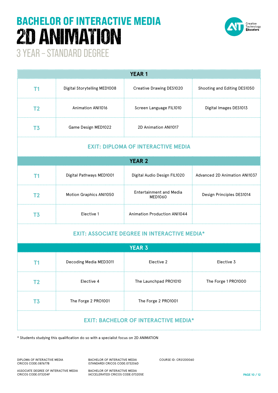# BACHELOR OF INTERACTIVE MEDIA 2D ANIMATION



3 YEAR – STANDARD DEGREE

| <b>YEAR1</b>                                        |                              |                                           |                               |  |  |  |  |
|-----------------------------------------------------|------------------------------|-------------------------------------------|-------------------------------|--|--|--|--|
| T <sub>1</sub>                                      | Digital Storytelling MED1008 | <b>Creative Drawing DES1020</b>           | Shooting and Editing DES1050  |  |  |  |  |
| T <sub>2</sub>                                      | <b>Animation ANI1016</b>     | Screen Language FIL1010                   | Digital Images DES1013        |  |  |  |  |
| T <sub>3</sub>                                      | Game Design MED1022          | 2D Animation ANI1017                      |                               |  |  |  |  |
| <b>EXIT: DIPLOMA OF INTERACTIVE MEDIA</b>           |                              |                                           |                               |  |  |  |  |
| <b>YEAR 2</b>                                       |                              |                                           |                               |  |  |  |  |
| T <sub>1</sub>                                      | Digital Pathways MED1001     | Digital Audio Design FIL1020              | Advanced 2D Animation ANI1037 |  |  |  |  |
| T <sub>2</sub>                                      | Motion Graphics ANI1050      | <b>Entertainment and Media</b><br>MED1060 | Design Principles DES1014     |  |  |  |  |
| T <sub>3</sub>                                      | Elective 1                   | <b>Animation Production ANI1044</b>       |                               |  |  |  |  |
| <b>EXIT: ASSOCIATE DEGREE IN INTERACTIVE MEDIA*</b> |                              |                                           |                               |  |  |  |  |
|                                                     |                              | <b>YEAR 3</b>                             |                               |  |  |  |  |
| T <sub>1</sub>                                      | Decoding Media MED3011       | Elective 2                                | Elective 3                    |  |  |  |  |
| T <sub>2</sub>                                      | Elective 4                   | The Launchpad PRO1010                     | The Forge 1 PRO1000           |  |  |  |  |
| T <sub>3</sub>                                      | The Forge 2 PRO1001          | The Forge 2 PRO1001                       |                               |  |  |  |  |
| <b>EXIT: BACHELOR OF INTERACTIVE MEDIA*</b>         |                              |                                           |                               |  |  |  |  |

\* Students studying this qualification do so with a specialist focus on 2D ANIMATION

DIPLOMA OF INTERACTIVE MEDIA CRICOS CODE:087677B

BACHELOR OF INTERACTIVE MEDIA (STANDARD) CRICOS CODE:073206D COURSE ID: CRS1200060

ASSOCIATE DEGREE OF INTERACTIVE MEDIA CRICOS CODE:073204F

BACHELOR OF INTERACTIVE MEDIA (ACCELERATED) CRICOS CODE:073205E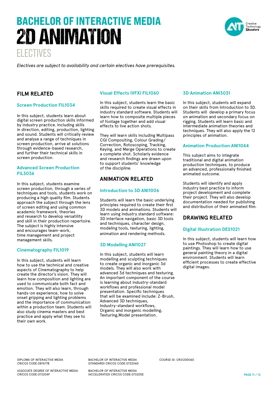# ELECTIVES BACHELOR OF INTERACTIVE MEDIA 2D ANIMATION

reative Technology<br>**Educators** 

*Electives are subject to availability and certain electives have prerequisites.* 

# **FILM RELATED**

# **Screen Production FIL1034**

In this subject, students learn about digital screen production skills informed by industry practice. Including skills in direction, editing, production, lighting and sound. Students will critically review and analyse a range of techniques in screen production, arrive at solutions through evidence-based research, and further their technical skills in screen production.

# **Advanced Screen Production FIL3036**

In this subject, students examine screen production, through a series of techniques and tools, students work on producing a high quality film. Students approach the subject through the lens of screen editing and using common academic framework, theories and research to develop versatility and skill in their production repertoire. The subject is highly intensive and encourages team-work, time management and project management skills.

# **Cinematography FIL1019**

In this subject, students will learn how to use the technical and creative aspects of Cinematography to help create the director's vision. They will learn how composition and lighting are used to communicate both fact and emotion. They will also learn, through hands-on experience, how to solve onset gripping and lighting problems and the importance of communication within a production team. Students will also study cinema masters and best practice and apply what they see to their own work.

# **Visual Effects (VFX) FIL1060**

In this subject, students learn the basic skills required to create visual effects in industry standard software. Students will learn how to composite multiple pieces of footage together and add visual effects to live action shots.

They will learn skills including Multipass CGI Compositing, Colour Grading/ Correction, Rotoscoping, Tracking, Keying, and Merge Operations to create a complete shot. Scholarly evidence and research findings are drawn upon to support students' knowledge of the discipline.

# **ANIMATION RELATED**

# **Introduction to 3D ANI1006**

Students will learn the basic underlying principles required to create their first 3D models and animations. Students will learn using industry standard software: 3D interface navigation, basic 3D tools and techniques, character design, modeling tools, texturing, lighting, animation and rendering methods.

# **3D Modelling ANI1027**

In this subject, students will learn modelling and sculpting techniques to create organic and inorganic 3d models. They will also work with advanced 3d techniques and texturing. An important component of the course is learning about industry-standard workflows and professional model presentation. Specific techniques that will be examined include: Z-Brush, Advanced 3D techniques, Industry-standard workflows, Organic and inorganic modelling, Texturing,Model presentation.

# **3D Animation ANI3031**

In this subject, students will expand on their skills from Introduction to 3D. Students will develop a primary focus on animation and secondary focus on rigging. Students will learn basic and intermediate animation theories and techniques. They will also apply the 12 principles of animation.

# **Animation Production ANI1044**

This subject aims to integrate traditional and digital animation production techniques, to produce an advanced, professionally finished animated outcome.

Students will identify and apply industry best practice to inform project development and complete their project. They will also develop documentation needed for publishing and distribution of their animated film.

# **DRAWING RELATED**

# **Digital Illustration DES1021**

In this subject, students will learn how to use Photoshop to create digital paintings. They will learn how to use general painting theory in a digital environment. Students will learn efficient processes to create effective digital images.

DIPLOMA OF INTERACTIVE MEDIA CRICOS CODE:087677B

ASSOCIATE DEGREE OF INTERACTIVE MEDIA CRICOS CODE:073204F

BACHELOR OF INTERACTIVE MEDIA (STANDARD) CRICOS CODE:073206D

BACHELOR OF INTERACTIVE MEDIA (ACCELERATED) CRICOS CODE:073205E